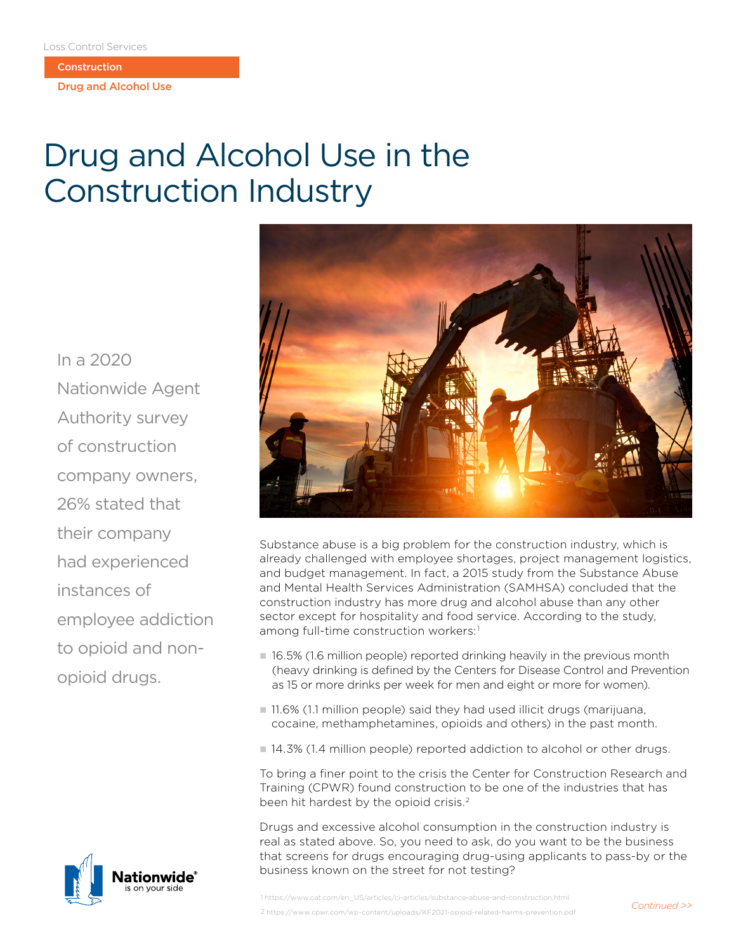**Construction** 

Drug and Alcohol Use

## Drug and Alcohol Use in the Construction Industry

In a 2020 Nationwide Agent Authority survey of construction company owners, 26% stated that their company had experienced instances of employee addiction to opioid and nonopioid drugs.





Substance abuse is a big problem for the construction industry, which is already challenged with employee shortages, project management logistics, and budget management. In fact, a 2015 study from the Substance Abuse and Mental Health Services Administration (SAMHSA) concluded that the construction industry has more drug and alcohol abuse than any other sector except for hospitality and food service. According to the study, among full-time construction workers:<sup>1</sup>

- $\blacksquare$  16.5% (1.6 million people) reported drinking heavily in the previous month (heavy drinking is defined by the Centers for Disease Control and Prevention as 15 or more drinks per week for men and eight or more for women).
- $\blacksquare$  11.6% (1.1 million people) said they had used illicit drugs (marijuana, cocaine, methamphetamines, opioids and others) in the past month.
- 14.3% (1.4 million people) reported addiction to alcohol or other drugs.

To bring a finer point to the crisis the Center for Construction Research and Training (CPWR) found construction to be one of the industries that has been hit hardest by the opioid crisis.<sup>2</sup>

Drugs and excessive alcohol consumption in the construction industry is real as stated above. So, you need to ask, do you want to be the business that screens for drugs encouraging drug-using applicants to pass-by or the business known on the street for not testing?

1 https://www.cat.com/en\_US/articles/ci-articles/substance-abuse-and-construction.html 2 https://www.cpwr.com/wp-content/uploads/KF2021-opioid-related-harms-prevention.pdf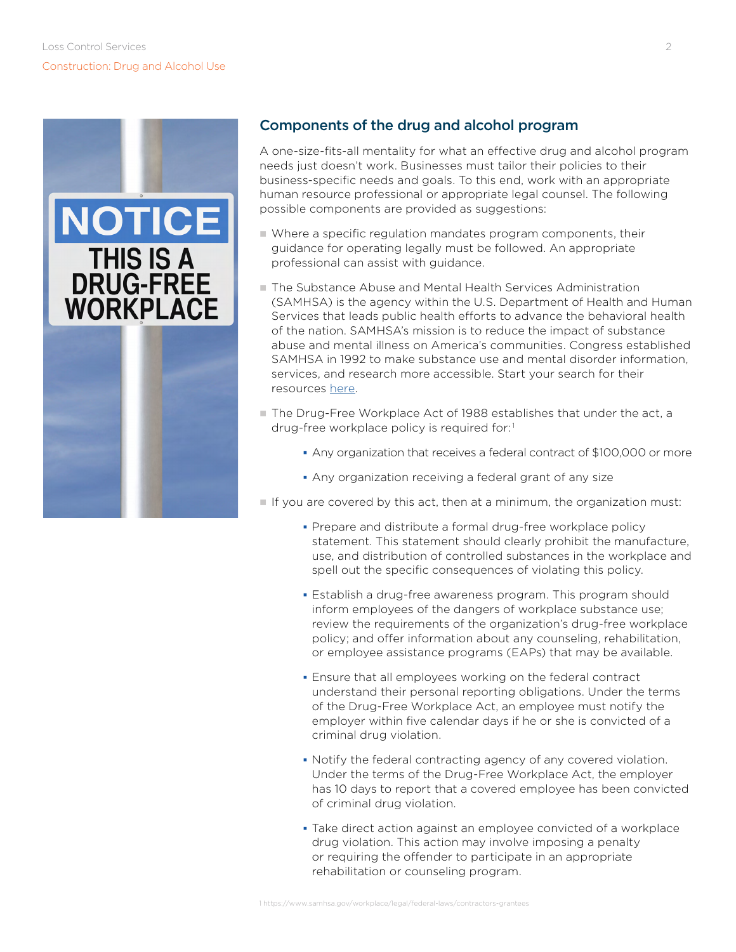

## Components of the drug and alcohol program

A one-size-fits-all mentality for what an effective drug and alcohol program needs just doesn't work. Businesses must tailor their policies to their business-specific needs and goals. To this end, work with an appropriate human resource professional or appropriate legal counsel. The following possible components are provided as suggestions:

- n Where a specific regulation mandates program components, their guidance for operating legally must be followed. An appropriate professional can assist with guidance.
- n The Substance Abuse and Mental Health Services Administration (SAMHSA) is the agency within the U.S. Department of Health and Human Services that leads public health efforts to advance the behavioral health of the nation. SAMHSA's mission is to reduce the impact of substance abuse and mental illness on America's communities. Congress established SAMHSA in 1992 to make substance use and mental disorder information, services, and research more accessible. Start your search for their resources [here](https://www.samhsa.gov/).
- The Drug-Free Workplace Act of 1988 establishes that under the act, a drug-free workplace policy is required for:<sup>1</sup>
	- Any organization that receives a federal contract of \$100,000 or more
	- Any organization receiving a federal grant of any size
- If you are covered by this act, then at a minimum, the organization must:
	- Prepare and distribute a formal drug-free workplace policy statement. This statement should clearly prohibit the manufacture, use, and distribution of controlled substances in the workplace and spell out the specific consequences of violating this policy.
	- Establish a drug-free awareness program. This program should inform employees of the dangers of workplace substance use; review the requirements of the organization's drug-free workplace policy; and offer information about any counseling, rehabilitation, or employee assistance programs (EAPs) that may be available.
	- Ensure that all employees working on the federal contract understand their personal reporting obligations. Under the terms of the Drug-Free Workplace Act, an employee must notify the employer within five calendar days if he or she is convicted of a criminal drug violation.
	- Notify the federal contracting agency of any covered violation. Under the terms of the Drug-Free Workplace Act, the employer has 10 days to report that a covered employee has been convicted of criminal drug violation.
	- Take direct action against an employee convicted of a workplace drug violation. This action may involve imposing a penalty or requiring the offender to participate in an appropriate rehabilitation or counseling program.